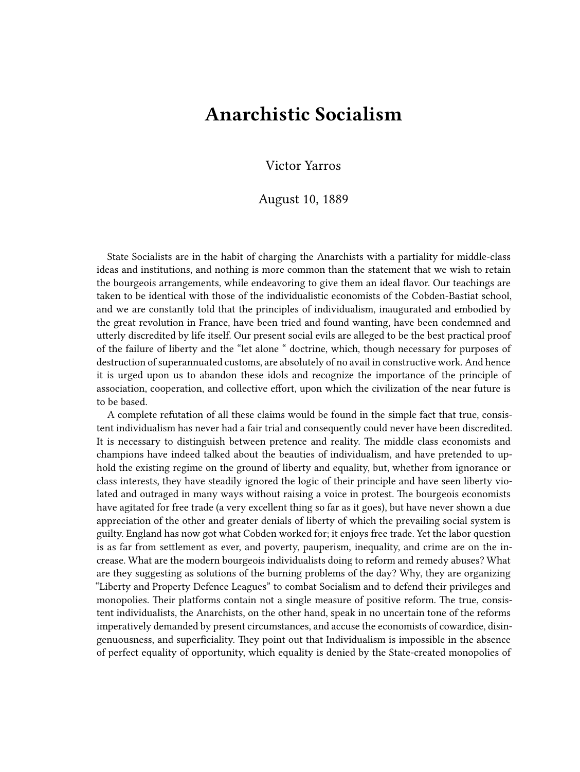## **Anarchistic Socialism**

Victor Yarros

## August 10, 1889

State Socialists are in the habit of charging the Anarchists with a partiality for middle-class ideas and institutions, and nothing is more common than the statement that we wish to retain the bourgeois arrangements, while endeavoring to give them an ideal flavor. Our teachings are taken to be identical with those of the individualistic economists of the Cobden-Bastiat school, and we are constantly told that the principles of individualism, inaugurated and embodied by the great revolution in France, have been tried and found wanting, have been condemned and utterly discredited by life itself. Our present social evils are alleged to be the best practical proof of the failure of liberty and the "let alone " doctrine, which, though necessary for purposes of destruction of superannuated customs, are absolutely of no avail in constructive work. And hence it is urged upon us to abandon these idols and recognize the importance of the principle of association, cooperation, and collective effort, upon which the civilization of the near future is to be based.

A complete refutation of all these claims would be found in the simple fact that true, consistent individualism has never had a fair trial and consequently could never have been discredited. It is necessary to distinguish between pretence and reality. The middle class economists and champions have indeed talked about the beauties of individualism, and have pretended to uphold the existing regime on the ground of liberty and equality, but, whether from ignorance or class interests, they have steadily ignored the logic of their principle and have seen liberty violated and outraged in many ways without raising a voice in protest. The bourgeois economists have agitated for free trade (a very excellent thing so far as it goes), but have never shown a due appreciation of the other and greater denials of liberty of which the prevailing social system is guilty. England has now got what Cobden worked for; it enjoys free trade. Yet the labor question is as far from settlement as ever, and poverty, pauperism, inequality, and crime are on the increase. What are the modern bourgeois individualists doing to reform and remedy abuses? What are they suggesting as solutions of the burning problems of the day? Why, they are organizing "Liberty and Property Defence Leagues" to combat Socialism and to defend their privileges and monopolies. Their platforms contain not a single measure of positive reform. The true, consistent individualists, the Anarchists, on the other hand, speak in no uncertain tone of the reforms imperatively demanded by present circumstances, and accuse the economists of cowardice, disingenuousness, and superficiality. They point out that Individualism is impossible in the absence of perfect equality of opportunity, which equality is denied by the State-created monopolies of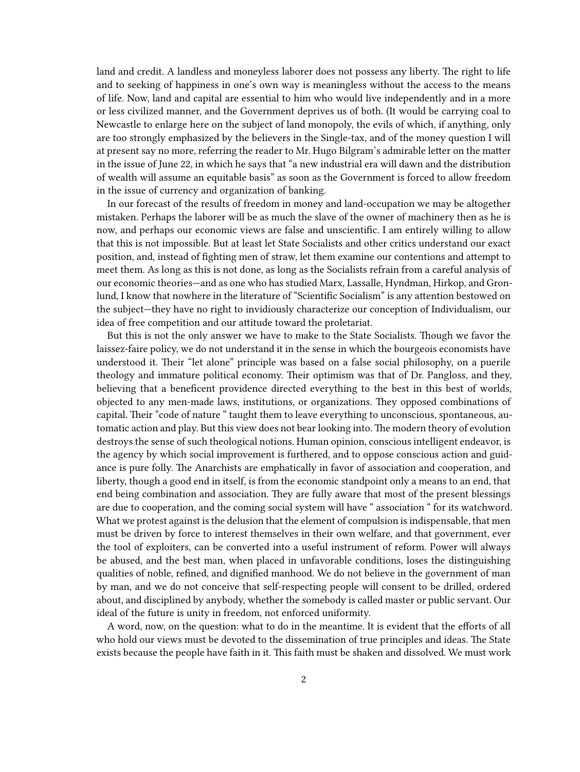land and credit. A landless and moneyless laborer does not possess any liberty. The right to life and to seeking of happiness in one's own way is meaningless without the access to the means of life. Now, land and capital are essential to him who would live independently and in a more or less civilized manner, and the Government deprives us of both. (It would be carrying coal to Newcastle to enlarge here on the subject of land monopoly, the evils of which, if anything, only are too strongly emphasized by the believers in the Single-tax, and of the money question I will at present say no more, referring the reader to Mr. Hugo Bilgram's admirable letter on the matter in the issue of June 22, in which he says that "a new industrial era will dawn and the distribution of wealth will assume an equitable basis" as soon as the Government is forced to allow freedom in the issue of currency and organization of banking.

In our forecast of the results of freedom in money and land-occupation we may be altogether mistaken. Perhaps the laborer will be as much the slave of the owner of machinery then as he is now, and perhaps our economic views are false and unscientific. I am entirely willing to allow that this is not impossible. But at least let State Socialists and other critics understand our exact position, and, instead of fighting men of straw, let them examine our contentions and attempt to meet them. As long as this is not done, as long as the Socialists refrain from a careful analysis of our economic theories—and as one who has studied Marx, Lassalle, Hyndman, Hirkop, and Gronlund, I know that nowhere in the literature of "Scientific Socialism" is any attention bestowed on the subject—they have no right to invidiously characterize our conception of Individualism, our idea of free competition and our attitude toward the proletariat.

But this is not the only answer we have to make to the State Socialists. Though we favor the laissez-faire policy, we do not understand it in the sense in which the bourgeois economists have understood it. Their "let alone" principle was based on a false social philosophy, on a puerile theology and immature political economy. Their optimism was that of Dr. Pangloss, and they, believing that a beneficent providence directed everything to the best in this best of worlds, objected to any men-made laws, institutions, or organizations. They opposed combinations of capital. Their "code of nature " taught them to leave everything to unconscious, spontaneous, automatic action and play. But this view does not bear looking into. The modern theory of evolution destroys the sense of such theological notions. Human opinion, conscious intelligent endeavor, is the agency by which social improvement is furthered, and to oppose conscious action and guidance is pure folly. The Anarchists are emphatically in favor of association and cooperation, and liberty, though a good end in itself, is from the economic standpoint only a means to an end, that end being combination and association. They are fully aware that most of the present blessings are due to cooperation, and the coming social system will have " association " for its watchword. What we protest against is the delusion that the element of compulsion is indispensable, that men must be driven by force to interest themselves in their own welfare, and that government, ever the tool of exploiters, can be converted into a useful instrument of reform. Power will always be abused, and the best man, when placed in unfavorable conditions, loses the distinguishing qualities of noble, refined, and dignified manhood. We do not believe in the government of man by man, and we do not conceive that self-respecting people will consent to be drilled, ordered about, and disciplined by anybody, whether the somebody is called master or public servant. Our ideal of the future is unity in freedom, not enforced uniformity.

A word, now, on the question: what to do in the meantime. It is evident that the efforts of all who hold our views must be devoted to the dissemination of true principles and ideas. The State exists because the people have faith in it. This faith must be shaken and dissolved. We must work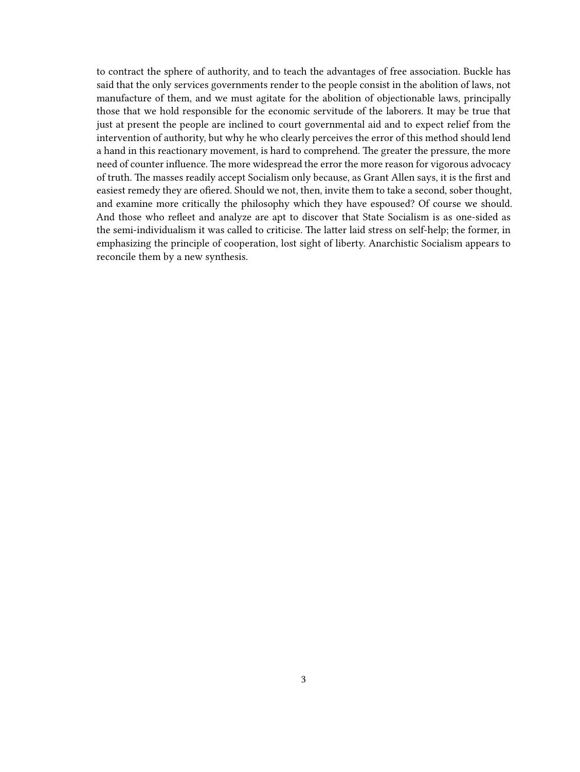to contract the sphere of authority, and to teach the advantages of free association. Buckle has said that the only services governments render to the people consist in the abolition of laws, not manufacture of them, and we must agitate for the abolition of objectionable laws, principally those that we hold responsible for the economic servitude of the laborers. It may be true that just at present the people are inclined to court governmental aid and to expect relief from the intervention of authority, but why he who clearly perceives the error of this method should lend a hand in this reactionary movement, is hard to comprehend. The greater the pressure, the more need of counter influence. The more widespread the error the more reason for vigorous advocacy of truth. The masses readily accept Socialism only because, as Grant Allen says, it is the first and easiest remedy they are ofiered. Should we not, then, invite them to take a second, sober thought, and examine more critically the philosophy which they have espoused? Of course we should. And those who refleet and analyze are apt to discover that State Socialism is as one-sided as the semi-individualism it was called to criticise. The latter laid stress on self-help; the former, in emphasizing the principle of cooperation, lost sight of liberty. Anarchistic Socialism appears to reconcile them by a new synthesis.